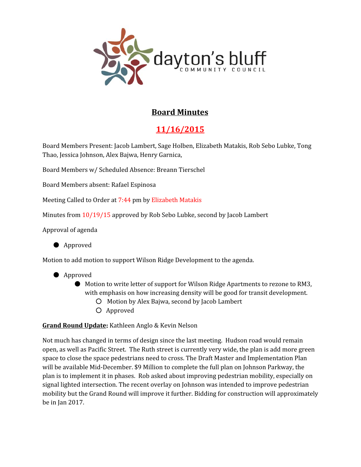

# **Board Minutes**

# **11/16/2015**

Board Members Present: Jacob Lambert, Sage Holben, Elizabeth Matakis, Rob Sebo Lubke, Tong Thao, Jessica Johnson, Alex Bajwa, Henry Garnica,

Board Members w/ Scheduled Absence: Breann Tierschel

Board Members absent: Rafael Espinosa

Meeting Called to Order at 7:44 pm by Elizabeth Matakis

Minutes from 10/19/15 approved by Rob Sebo Lubke, second by Jacob Lambert

Approval of agenda



Motion to add motion to support Wilson Ridge Development to the agenda.

- Approved
	- Motion to write letter of support for Wilson Ridge Apartments to rezone to RM3, with emphasis on how increasing density will be good for transit development.
		- Motion by Alex Bajwa, second by Jacob Lambert
		- Approved

### **Grand Round Update:** Kathleen Anglo & Kevin Nelson

Not much has changed in terms of design since the last meeting. Hudson road would remain open, as well as Pacific Street. The Ruth street is currently very wide, the plan is add more green space to close the space pedestrians need to cross. The Draft Master and Implementation Plan will be available Mid-December. \$9 Million to complete the full plan on Johnson Parkway, the plan is to implement it in phases. Rob asked about improving pedestrian mobility, especially on signal lighted intersection. The recent overlay on Johnson was intended to improve pedestrian mobility but the Grand Round will improve it further. Bidding for construction will approximately be in Jan 2017.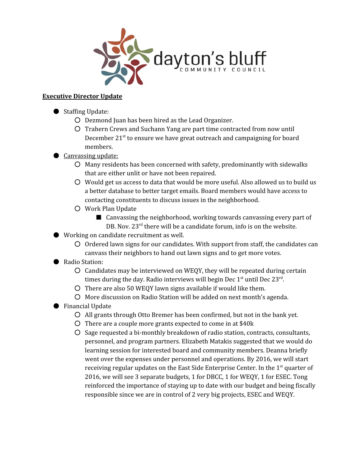

## **Executive Director Update**

- Staffing Update:
	- Dezmond Juan has been hired as the Lead Organizer.
	- Trahern Crews and Suchann Yang are part time contracted from now until December 21<sup>st</sup> to ensure we have great outreach and campaigning for board members.
- Canvassing update:
	- Many residents has been concerned with safety, predominantly with sidewalks that are either unlit or have not been repaired.
	- Would get us access to data that would be more useful. Also allowed us to build us a better database to better target emails. Board members would have access to contacting constituents to discuss issues in the neighborhood.
	- Work Plan Update
		- Canvassing the neighborhood, working towards canvassing every part of DB. Nov. 23<sup>rd</sup> there will be a candidate forum, info is on the website.
- Working on candidate recruitment as well.
	- Ordered lawn signs for our candidates. With support from staff, the candidates can canvass their neighbors to hand out lawn signs and to get more votes.
- Radio Station:
	- Candidates may be interviewed on WEQY, they will be repeated during certain times during the day. Radio interviews will begin Dec  $1^\text{st}$  until Dec  $23^\text{rd}$ .
	- There are also 50 WEQY lawn signs available if would like them.
	- More discussion on Radio Station will be added on next month's agenda.
- Financial Update
	- All grants through Otto Bremer has been confirmed, but not in the bank yet.
	- There are a couple more grants expected to come in at \$40k
	- Sage requested a bi-monthly breakdown of radio station, contracts, consultants, personnel, and program partners. Elizabeth Matakis suggested that we would do learning session for interested board and community members. Deanna briefly went over the expenses under personnel and operations. By 2016, we will start receiving regular updates on the East Side Enterprise Center. In the 1<sup>st</sup> quarter of 2016, we will see 3 separate budgets, 1 for DBCC, 1 for WEQY, 1 for ESEC. Tong reinforced the importance of staying up to date with our budget and being fiscally responsible since we are in control of 2 very big projects, ESEC and WEQY.